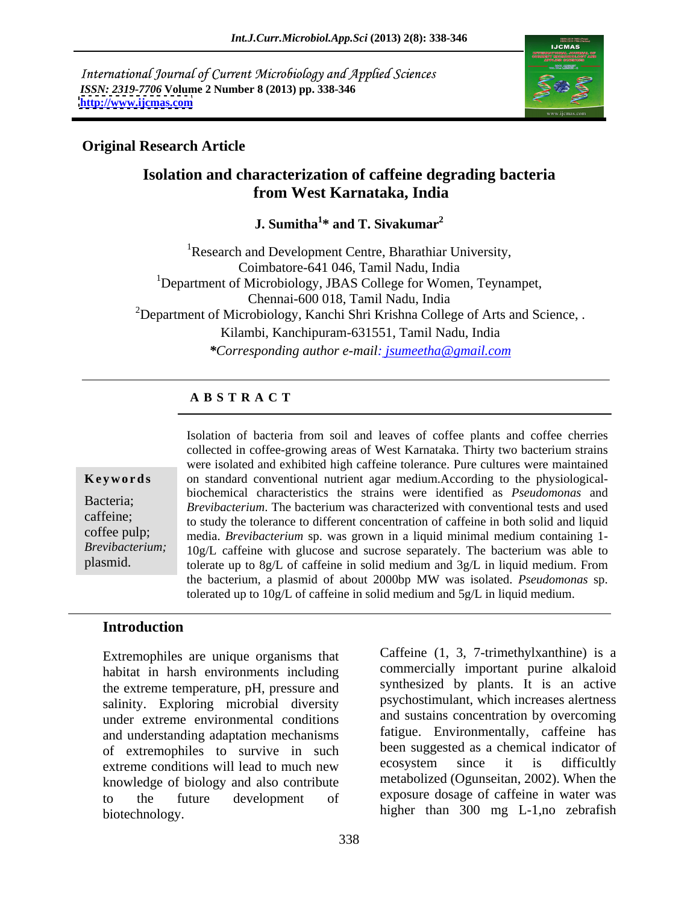International Journal of Current Microbiology and Applied Sciences *ISSN: 2319-7706* **Volume 2 Number 8 (2013) pp. 338-346 <http://www.ijcmas.com>**



### **Original Research Article**

### **Isolation and characterization of caffeine degrading bacteria from West Karnataka, India**

### **J.** Sumitha<sup>1\*</sup> and T. Sivakumar<sup>2</sup> **\* and T. Sivakumar2**

<sup>1</sup>Research and Development Centre, Bharathiar University, Coimbatore-641 046, Tamil Nadu, India <sup>1</sup>Department of Microbiology, JBAS College for Women, Teynampet, Chennai-600 018, Tamil Nadu, India <sup>2</sup>Department of Microbiology, Kanchi Shri Krishna College of Arts and Science, . Kilambi, Kanchipuram-631551, Tamil Nadu, India *\*Corresponding author e-mail: jsumeetha@gmail.com*

### **A B S T R A C T**

**Keywords** on standard conventional nutrient agar medium.According to the physiological-Bacteria; *Brevibacterium*. The bacterium was characterized with conventional tests and used exercise to study the tolerance to different concentration of caffeine in both solid and liquid coffee pulp; media. *Brevibacterium* sp. was grown in a liquid minimal medium containing 1- *Brevibacterium;*  10g/L caffeine with glucose and sucrose separately. The bacterium was able to plasmid. tolerate up to 8g/L of caffeine in solid medium and 3g/L in liquid medium. From Isolation of bacteria from soil and leaves of coffee plants and coffee cherries collected in coffee-growing areas of West Karnataka. Thirty two bacterium strains were isolated and exhibited high caffeine tolerance. Pure cultures were maintained biochemical characteristics the strains were identified as *Pseudomonas* and the bacterium, a plasmid of about 2000bp MW was isolated. *Pseudomonas* sp. tolerated up to 10g/L of caffeine in solid medium and 5g/L in liquid medium.

### **Introduction**

Extremophiles are unique organisms that habitat in harsh environments including the extreme temperature, pH, pressure and salinity. Exploring microbial diversity under extreme environmental conditions and understanding adaptation mechanisms of extremophiles to survive in such been suggested as a chemical indicator of<br>extreme conditions will lead to much new ecosystem since it is difficultly extreme conditions will lead to much new knowledge of biology and also contribute to the future development of exposure dosage of caffeine in water was biotechnology. higher than 300 mg L-1,no zebrafish

ecosystem since it is difficultly metabolized (Ogunseitan, 2002). When the

Caffeine (1, 3, 7-trimethylxanthine) is a commercially important purine alkaloid synthesized by plants. It is an active psychostimulant, which increases alertness and sustains concentration by overcoming fatigue. Environmentally, caffeine has been suggested as a chemical indicator of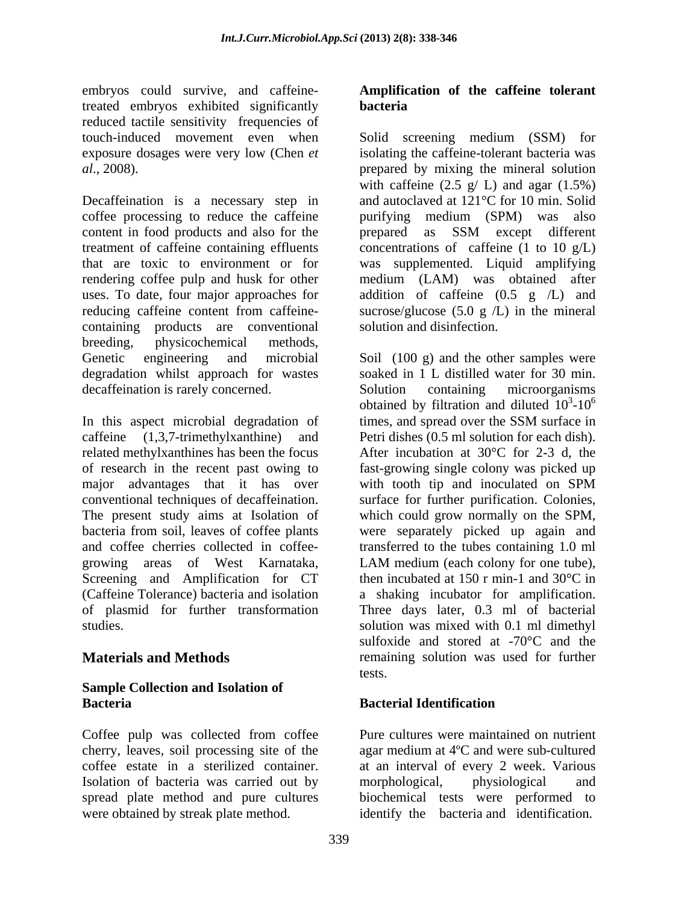embryos could survive, and caffeinetreated embryos exhibited significantly reduced tactile sensitivity frequencies of

Decaffeination is a necessary step in coffee processing to reduce the caffeine purifying medium (SPM) was also content in food products and also for the prepared as SSM except different treatment of caffeine containing effluents concentrations of caffeine (1 to 10 g/L) that are toxic to environment or for was supplemented. Liquid amplifying rendering coffee pulp and husk for other medium (LAM) was obtained after uses. To date, four major approaches for reducing caffeine content from caffeine-<br>sucrose/glucose (5.0 g /L) in the mineral containing products are conventional breeding, physicochemical methods, Genetic engineering and microbial Soil (100 g) and the other samples were degradation whilst approach for wastes soaked in 1 L distilled water for 30 min. decaffeination is rarely concerned. Solution containing microorganisms

In this aspect microbial degradation of times, and spread over the SSM surface in caffeine (1,3,7-trimethylxanthine) and Petri dishes (0.5 ml solution for each dish). related methylxanthines has been the focus After incubation at 30°C for 2-3 d, the of research in the recent past owing to fast-growing single colony was picked up major advantages that it has over with tooth tip and inoculated on SPM conventional techniques of decaffeination. surface for further purification. Colonies, The present study aims at Isolation of which could grow normally on theSPM, bacteria from soil, leaves of coffee plants were separately picked up again and and coffee cherries collected in coffee- transferred to the tubes containing 1.0 ml growing areas of West Karnataka, Screening and Amplification for CT (Caffeine Tolerance) bacteria and isolation a shaking incubator for amplification. of plasmid for further transformation Three days later, 0.3 ml of bacterial

### **Sample Collection and Isolation of Bacteria Bacterial Identification**

Coffee pulp was collected from coffee cherry, leaves, soil processing site of the Isolation of bacteria was carried out by morphological, physiological and were obtained by streak plate method.  $\qquad \qquad$  identify the bacteria and identification.

### **Amplification of the caffeine tolerant bacteria**

touch-induced movement even when Solid screening medium (SSM) for exposure dosages were very low (Chen *et* isolating the caffeine-tolerant bacteria was *al*., 2008). prepared by mixing the mineral solution with caffeine  $(2.5 \text{ g} / \text{ L})$  and agar  $(1.5\%)$ and autoclaved at 121°C for 10 min. Solid prepared as SSM except different addition of caffeine  $(0.5 \text{ g } /L)$  and sucrose/glucose (5.0 g  $/L$ ) in the mineral solution and disinfection.

studies. solution was mixed with 0.1 ml dimethyl **Materials and Methods remaining solution was used for further** Solution containing microorganisms obtained by filtration and diluted  $10^3$ - $10^6$  $3 \cdot 10^6$  $-10^6$ times, and spread over the SSM surface in with tooth tip and inoculated on SPM LAM medium (each colony for one tube), then incubated at 150 r min-1 and 30°C in sulfoxide and stored at -70°C and the tests.

## **Bacterial Identification**

coffee estate in a sterilized container. at an interval of every 2 week. Various spread plate method and pure cultures biochemical tests were performed to Pure cultures were maintained on nutrient agar medium at 4ºC and were sub-cultured morphological, physiological and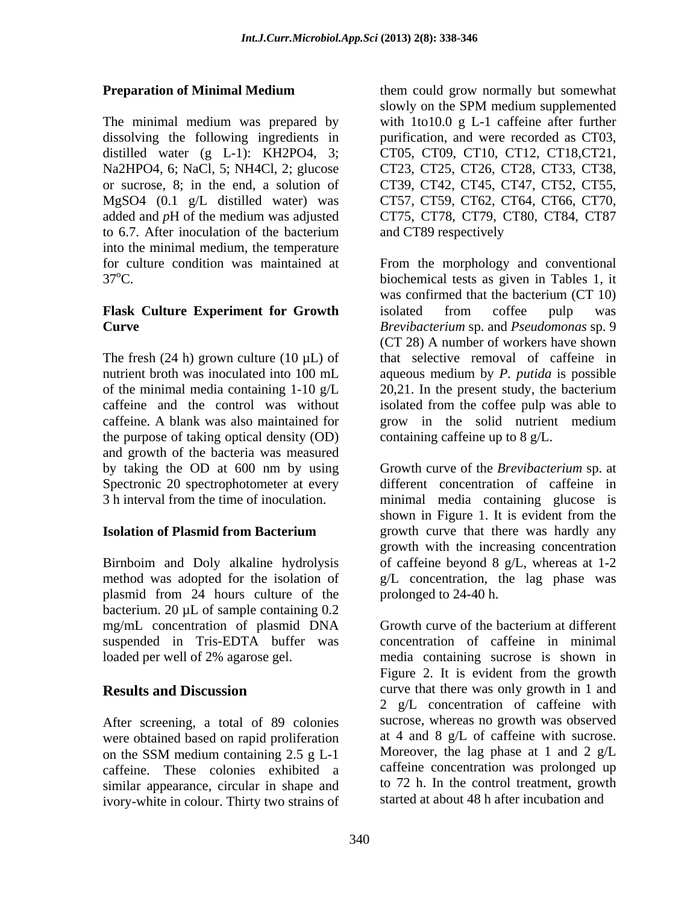The minimal medium was prepared by into the minimal medium, the temperature

# **Flask Culture Experiment for Growth**

The fresh  $(24 h)$  grown culture  $(10 \mu L)$  of the purpose of taking optical density (OD) and growth of the bacteria was measured Spectronic 20 spectrophotometer at every

plasmid from 24 hours culture of the bacterium. 20 µL of sample containing 0.2 mg/mL concentration of plasmid DNA Growth curve of the bacterium at different

After screening, a total of 89 colonies were obtained based on rapid proliferation caffeine. These colonies exhibited a similar appearance, circular in shape and ivory-white in colour. Thirty two strains of

**Preparation of Minimal Medium** them could grow normally but somewhat dissolving the following ingredients in purification, and were recorded as CT03, distilled water (g L-1): KH2PO4, 3; CT05, CT09, CT10, CT12, CT18,CT21, Na2HPO4, 6; NaCl, 5; NH4Cl, 2; glucose CT23, CT25, CT26, CT28, CT33, CT38, or sucrose, 8; in the end, a solution of CT39, CT42, CT45, CT47, CT52, CT55, MgSO4 (0.1 g/L distilled water) was CT57, CT59, CT62, CT64, CT66, CT70, added and *p*H of the medium was adjusted CT75, CT78, CT79, CT80, CT84, CT87 to 6.7. After inoculation of the bacterium them could grow normally but somewhat slowly on the SPM medium supplemented with 1to10.0 g L-1 caffeine after further and CT89 respectively

for culture condition was maintained at From the morphology and conventional 37<sup>o</sup>C. biochemical tests as given in Tables 1, it **Curve** *Brevibacterium* sp. and *Pseudomonas* sp. 9 nutrient broth was inoculated into 100 mL aqueous medium by *P. putida* is possible of the minimal media containing 1-10 g/L 20,21. In the present study, the bacterium caffeine and the control was without isolated from the coffee pulp was able to caffeine. A blank was also maintained for grow in the solid nutrient medium was confirmed that the bacterium (CT 10) isolated from coffee pulp was (CT 28) A number of workers have shown that selective removal of caffeine in containing caffeine up to 8 g/L.

by taking the OD at 600 nm by using Growth curve of the *Brevibacterium* sp. at 3 h interval from the time of inoculation. minimal media containing glucose is **Isolation of Plasmid from Bacterium Example 20** growth curve that there was hardly any Birnboim and Doly alkaline hydrolysis of caffeine beyond 8 g/L, whereas at 1-2 method was adopted for the isolation of g/L concentration, the lag phase was Growth curve of the *Brevibacterium* sp. at different concentration of caffeine in shown in Figure 1. It is evident from the growth curve that there was hardly any growth with the increasing concentration prolonged to 24-40 h.

suspended in Tris-EDTA buffer was concentration of caffeine in minimal loaded per well of 2% agarose gel. media containing sucrose is shown in **Results and Discussion** curve that there was only growth in 1 and on the SSM medium containing 2.5 g L-1 Moreover, the lag phase at 1 and 2 g/L Growth curve of the bacterium at different Figure 2. It is evident from the growth 2 g/L concentration of caffeine with sucrose, whereas no growth was observed at 4 and 8 g/L of caffeine with sucrose. Moreover, the lag phase at 1 and 2  $g/L$ caffeine concentration was prolonged up to 72 h. In the control treatment, growth started at about 48 h after incubation and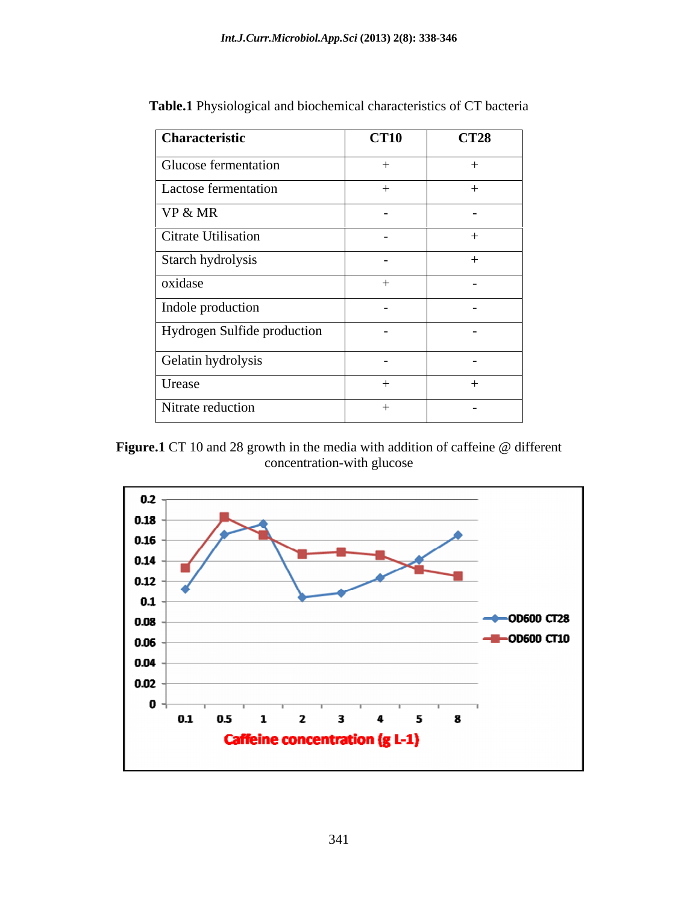| Characteristic              | <b>CT10</b>              | <b>CT28</b>              |
|-----------------------------|--------------------------|--------------------------|
| <b>Glucose fermentation</b> | $+$                      | $+$                      |
| Lactose fermentation        | $+$                      | $+$                      |
| VP & MR                     | $\overline{\phantom{a}}$ |                          |
| Citrate Utilisation         | $\overline{\phantom{0}}$ | $+$                      |
| Starch hydrolysis           | $\overline{\phantom{0}}$ | $+$                      |
| oxidase                     | $+$                      | $\overline{\phantom{0}}$ |
| Indole production           | $\overline{\phantom{0}}$ | $\overline{\phantom{0}}$ |
| Hydrogen Sulfide production | $\overline{\phantom{a}}$ | $\overline{\phantom{a}}$ |
| Gelatin hydrolysis          | $\overline{\phantom{0}}$ | $\sim$                   |
| Urease                      | $+$                      | $+$                      |
| Nitrate reduction           | $+$                      | $\overline{\phantom{0}}$ |

**Table.1** Physiological and biochemical characteristics of CT bacteria

**Figure.1** CT 10 and 28 growth in the media with addition of caffeine @ different concentration-with glucose

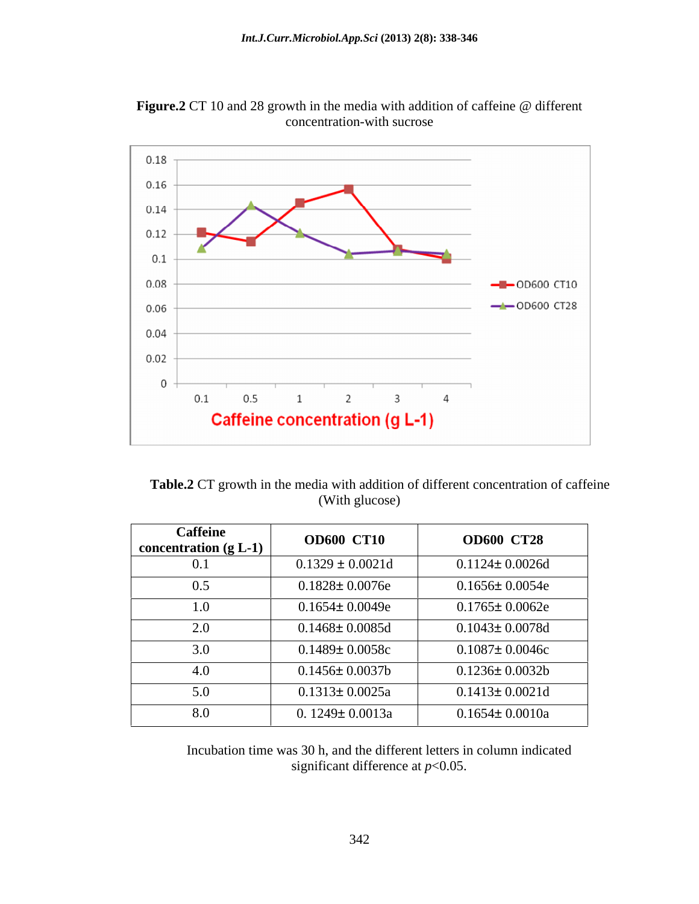

**Figure.2** CT 10 and 28 growth in the media with addition of caffeine @ different concentration-with sucrose

**Table.2** CT growth in the media with addition of different concentration of caffeine (With glucose)

| <b>Caffeine</b><br>concentration $(g L-1)$ | <b>OD600 CT10</b>     | <b>OD600 CT28</b>     |
|--------------------------------------------|-----------------------|-----------------------|
| 0.1                                        | $0.1329 \pm 0.0021d$  | $0.1124 \pm 0.0026$ d |
| 0.5                                        | $0.1828 \pm 0.0076$ e | $0.1656 \pm 0.0054e$  |
| 1.0                                        | $0.1654 \pm 0.0049e$  | $0.1765 \pm 0.0062e$  |
| 2.0                                        | $0.1468 \pm 0.0085$ d | $0.1043 \pm 0.0078$ d |
| 3.0                                        | $0.1489 \pm 0.0058c$  | $0.1087 \pm 0.0046c$  |
| 4.0                                        | $0.1456 \pm 0.0037b$  | $0.1236 \pm 0.0032b$  |
| 5.0                                        | $0.1313 \pm 0.0025a$  | $0.1413 \pm 0.0021d$  |
| 8.0                                        | 0. $1249 \pm 0.0013a$ | $0.1654 \pm 0.0010a$  |

Incubation time was 30 h, and the different letters in column indicated significant difference at *p*<0.05.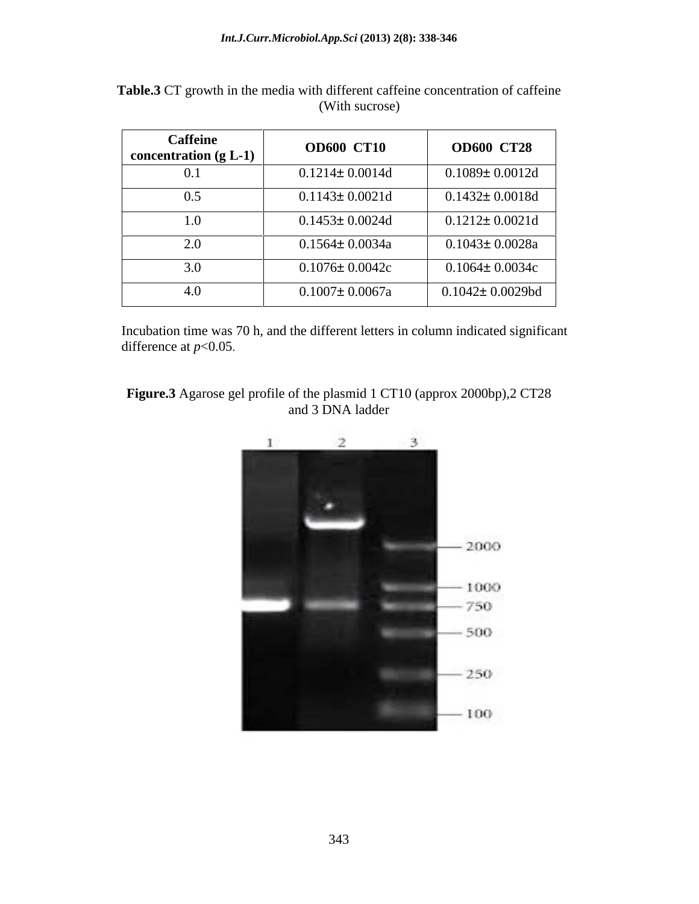| <b>Caffeine</b><br>$\vert$ concentration (g L-1) $\vert$ | <b>OD600 CT10</b>     | <b>OD600 CT28</b>      |
|----------------------------------------------------------|-----------------------|------------------------|
| 0.1                                                      | $0.1214 \pm 0.0014d$  | $0.1089 \pm 0.0012$ d  |
| $_{0.5}$                                                 | $0.1143 \pm 0.0021$ d | $0.1432 \pm 0.0018d$   |
| 0.1                                                      | $0.1453 \pm 0.0024$ d | $0.1212 \pm 0.0021d$   |
| 2.0                                                      | $0.1564 \pm 0.0034a$  | $0.1043 \pm 0.0028a$   |
| 3.0                                                      | $0.1076 \pm 0.0042c$  | $0.1064 \pm 0.0034c$   |
| 4.0                                                      | $0.1007 \pm 0.0067a$  | $0.1042 \pm 0.0029$ bd |

Table.3 CT growth in the media with different caffeine concentration of caffeine (With sucrose) (With sucrose)

Incubation time was 70 h, and the different letters in column indicated significant difference at *p*<0.05.



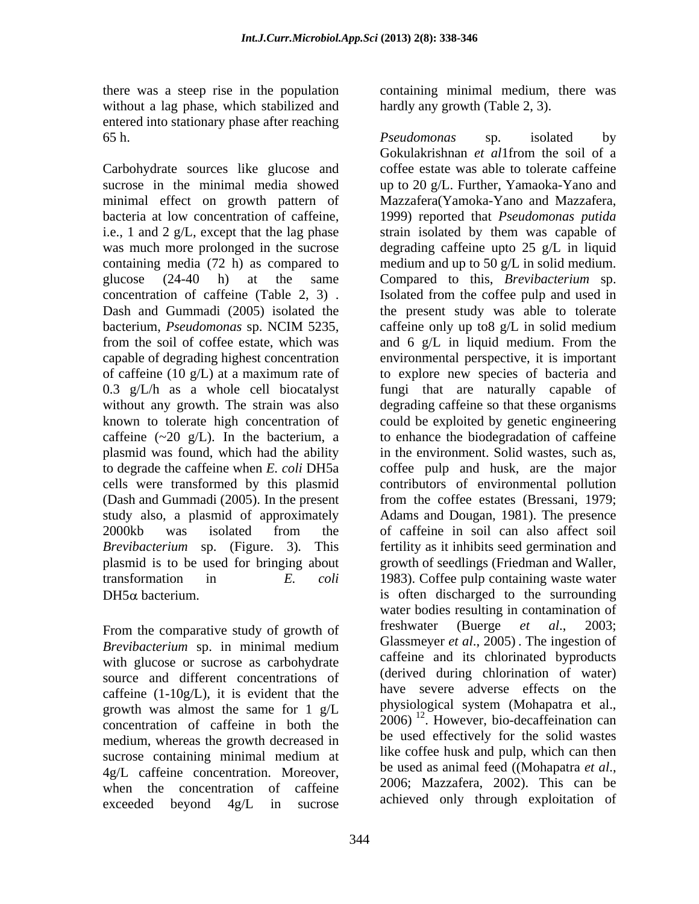without a lag phase, which stabilized and entered into stationary phase after reaching 65 h. by the contract of the *Pseudomonas* sp. isolated by

Carbohydrate sources like glucose and minimal effect on growth pattern of Mazzafera (Yamoka-Yano and Mazzafera, bacteria at low concentration of caffeine, 1999) reported that *Pseudomonas putida* from the soil of coffee estate, which was and 6 g/L in liquid medium. From the (Dash and Gummadi (2005). In the present plasmid is to be used for bringing about transformation in *E. coli*

*Brevibacterium* sp. in minimal medium with glucose or sucrose as carbohydrate source and different concentrations of caffeine  $(1-10g/L)$ , it is evident that the growth was almost the same for 1 g/L concentration of caffeine in both the medium, whereas the growth decreased in  $4g/L$  caffeine concentration. Moreover,<br>when the concentration of caffeine  $2006$ ; Mazzafera, 2002). This can be when the concentration of caffeine exceeded beyond 4g/L in sucrose achieved only through exploitation of

there was a steep rise in the population containing minimal medium, there was hardly any growth (Table 2, 3).

sucrose in the minimal media showed up to 20 g/L. Further, Yamaoka-Yano and i.e., 1 and 2 g/L, except that the lag phase strain isolated by them was capable of was much more prolonged in the sucrose degrading caffeine upto 25 g/L in liquid containing media (72 h) as compared to medium and up to 50 g/L in solid medium. glucose (24-40 h) at the same Compared to this, *Brevibacterium* sp. concentration of caffeine (Table 2, 3). Isolated from the coffee pulp and used in<br>Dash and Gummadi (2005) isolated the the present study was able to tolerate bacterium, *Pseudomonas* sp. NCIM 5235, capable of degrading highest concentration environmental perspective, it is important of caffeine (10 g/L) at a maximum rate of to explore new species of bacteria and 0.3 g/L/h as a whole cell biocatalyst fungi that are naturally capable of without any growth. The strain was also degrading caffeine so that these organisms known to tolerate high concentration of could be exploited by genetic engineering caffeine  $(\sim 20 \text{ g/L})$ . In the bacterium, a to enhance the biodegradation of caffeine plasmid was found, which had the ability in the environment. Solid wastes, such as, to degrade the caffeine when *E. coli* DH5a coffee pulp and husk, are the major cells were transformed by this plasmid contributors of environmental pollution study also, a plasmid of approximately Adams and Dougan, 1981). The presence 2000kb was isolated from the of caffeine in soil can also affect soil *Brevibacterium* sp. (Figure. 3)*.* This fertility as it inhibits seed germination and  $DH5\alpha$  bacterium. is often discharged to the surrounding From the comparative study of growth of freshwater (Buerge et al., 2003; sucrose containing minimal medium at the correct nusk and pulp, which can then *Pseudomonas* sp. isolated by Gokulakrishnan *et al*1from the soil of a coffee estate was able to tolerate caffeine Mazzafera(Yamoka-Yano and Mazzafera, 1999) reported that *Pseudomonas putida*  Isolated from the coffee pulp and used in the present study was able to tolerate caffeine only up to8 g/L in solid medium and 6 g/L in liquid medium. From the from the coffee estates (Bressani, 1979; of caffeine in soil can also affect soil growth of seedlings (Friedman and Waller, 1983). Coffee pulp containing waste water water bodies resulting in contamination of freshwater (Buerge *et al*., 2003; Glassmeyer *et al*., 2005) . The ingestion of caffeine and its chlorinated byproducts (derived during chlorination of water) have severe adverse effects on the physiological system (Mohapatra et al., 2006) <sup>12</sup> . However, bio-decaffeination can be used effectively for the solid wastes like coffee husk and pulp, which can then be used as animal feed ((Mohapatra *et al*., 2006; Mazzafera, 2002). This can be achieved only through exploitation of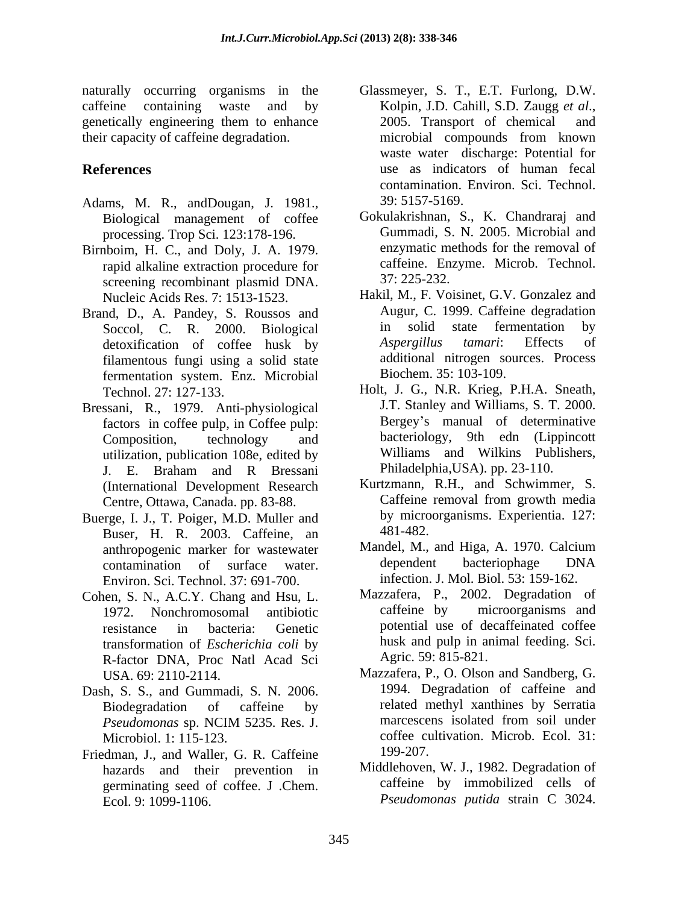caffeine containing waste and by Kolpin, J.D. Cahill, S.D. Zaugg et al., their capacity of caffeine degradation.

- Adams, M. R., andDougan, J. 1981., 39: 5157-5169.<br>Biological management of coffee Gokulakrishnan, S., K. Chandraraj and processing. Trop Sci. 123:178-196.
- Birnboim, H. C., and Doly, J. A. 1979. rapid alkaline extraction procedure for caffeine. En creening recombinant plasmid DNA 37: 225-232. screening recombinant plasmid DNA. Nucleic Acids Res. 7: 1513-1523.
- Brand, D., A. Pandey, S. Roussos and Augur, C. 1999. Caffeine degradation<br>Soccol C. R. 2000 Biological in solid state fermentation by detoxification of coffee husk by filamentous fungi using a solid state fermentation system. Enz. Microbial
- Bressani, R., 1979. Anti-physiological factors in coffee pulp, in Coffee pulp: utilization, publication 108e, edited by J. E. Braham and R Bressani Centre, Ottawa, Canada. pp. 83-88.
- Buerge, I. J., T. Poiger, M.D. Muller and by micro<br>Buser, H. R. 2003, Caffeine, an. 481-482. Buser, H. R. 2003. Caffeine, an 481-482.<br>anthropogenic marker for wastewater Mandel, M., and Higa, A. 1970. Calcium anthropogenic marker for wastewater Mandel, M., and Higa, A. 1970.<br>
contamination of surface water dependent bacteriophage Environ. Sci. Technol. 37: 691-700.
- Cohen, S. N., A.C.Y. Chang and Hsu, L. Mazzafera, P., 2002. Degradation of 1972. Nonchromosomal antibiotic caffeine by microorganisms and transformation of *Escherichia coli* by R-factor DNA, Proc Natl Acad Sci
- Dash, S. S., and Gummadi, S. N. 2006.
- Friedman, J., and Waller, G. R. Caffeine 199-207. hazards and their prevention in germinating seed of coffee. J .Chem. Ecol. 9: 1099-1106. *Pseudomonas putida* strain C 3024.
- naturally occurring organisms in the Glassmeyer, S. T., E.T. Furlong, D.W. genetically engineering them to enhance 2005. Transport of chemical and **References** use as indicators of human fecal Kolpin, J.D. Cahill, S.D. Zaugg *et al*., 2005. Transport of chemical and microbial compounds from known waste water discharge: Potential for contamination. Environ. Sci. Technol. 39: 5157-5169.
	- Gokulakrishnan, S., K. Chandraraj and Gummadi, S. N. 2005. Microbial and enzymatic methods for the removal of caffeine. Enzyme. Microb. Technol. 37: 225-232.
	- Soccol, C. R. 2000. Biological in solid state fermentation by<br>detoxification of coffee busk by Aspergillus tamari: Effects of Hakil, M., F. Voisinet, G.V. Gonzalez and Augur, C. 1999. Caffeine degradation in solid state fermentation *Aspergillus tamari*: Effects of additional nitrogen sources. Process Biochem. 35: 103-109.
	- Technol. 27: 127-133. Holt, J. G., N.R. Krieg, P.H.A. Sneath,<br>ssani R., 1979 Anti-physiological J.T. Stanley and Williams, S. T. 2000. Composition, technology and bacteriology, 9th edn (Lippincott Holt, J. G., N.R. Krieg, P.H.A. Sneath, J.T. Stanley and Williams, S. T. 2000. Bergey's manual of determinative Williams and Wilkins Publishers, Philadelphia,USA). pp. 23-110.
	- (International Development Research Kurtzmann, R.H., and Schwimmer, S.<br>Centre Ottawa Canada pp. 83-88 Caffeine removal from growth media Kurtzmann, R.H., and Schwimmer, S. Caffeine removal from growth media by microorganisms. Experientia. 127: 481-482.
	- contamination of surface water. Mandel, M., and Higa, A. 1970. Calcium dependent bacteriophage DNA infection. J. Mol. Biol. 53: 159-162.
	- resistance in bacteria: Genetic potential use of decaffeinated coffee Mazzafera, P., 2002. Degradation of caffeine by microorganisms and husk and pulp in animal feeding. Sci. Agric. 59: 815-821.
	- USA. 69: 2110-2114. Mazzafera, P., O. Olson and Sandberg, G.<br>
	A S. S. and Gummadi S. N. 2006 1994. Degradation of caffeine and Biodegradation of caffeine by melated methyl xanthines by Serratia *Pseudomonas* sp. NCIM 5235. Res. J. Microbiol. 1: 115-123. coffee cultivation. Microb. Ecol. 31: Mazzafera, P., O. Olson and Sandberg, G. 1994. Degradation of caffeine and related methyl xanthines by Serratia marcescens isolated from soil under 199-207.
		- Middlehoven, W. J., 1982. Degradation of caffeine by immobilized cells of